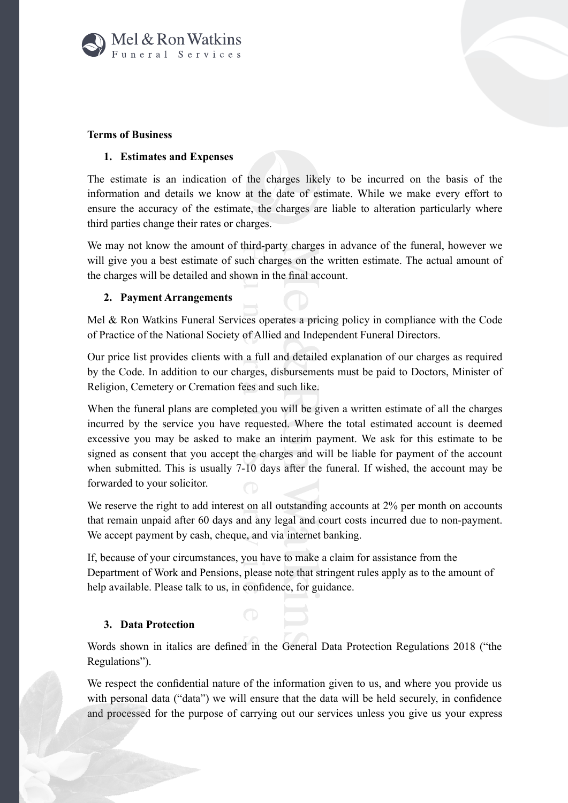

# **Terms of Business**

### 1. Estimates and Expenses

The estimate is an indication of the charges likely to be incurred on the basis of the information and details we know at the date of estimate. While we make every effort to ensure the accuracy of the estimate, the charges are liable to alteration particularly where third parties change their rates or charges.

We may not know the amount of third-party charges in advance of the funeral, however we will give you a best estimate of such charges on the written estimate. The actual amount of the charges will be detailed and shown in the final account.

# 2. Payment Arrangements

Mel & Ron Watkins Funeral Services operates a pricing policy in compliance with the Code of Practice of the National Society of Allied and Independent Funeral Directors.

Our price list provides clients with a full and detailed explanation of our charges as required by the Code. In addition to our charges, disbursements must be paid to Doctors, Minister of Religion, Cemetery or Cremation fees and such like.

When the funeral plans are completed you will be given a written estimate of all the charges incurred by the service you have requested. Where the total estimated account is deemed excessive you may be asked to make an interim payment. We ask for this estimate to be signed as consent that you accept the charges and will be liable for payment of the account when submitted. This is usually 7-10 days after the funeral. If wished, the account may be forwarded to your solicitor.

We reserve the right to add interest on all outstanding accounts at 2% per month on accounts that remain unpaid after 60 days and any legal and court costs incurred due to non-payment. We accept payment by cash, cheque, and via internet banking.

If, because of your circumstances, you have to make a claim for assistance from the Department of Work and Pensions, please note that stringent rules apply as to the amount of help available. Please talk to us, in confidence, for guidance.

# 3. Data Protection

Words shown in italics are defined in the General Data Protection Regulations 2018 ("the Regulations").

We respect the confidential nature of the information given to us, and where you provide us with personal data ("data") we will ensure that the data will be held securely, in confidence and processed for the purpose of carrying out our services unless you give us your express